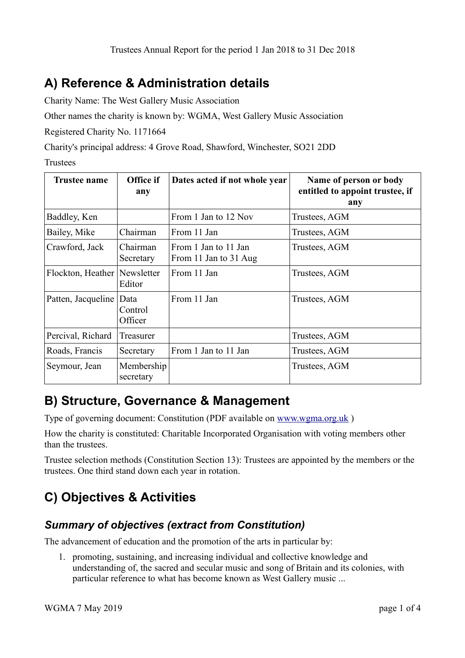## **A) Reference & Administration details**

Charity Name: The West Gallery Music Association

Other names the charity is known by: WGMA, West Gallery Music Association

Registered Charity No. 1171664

Charity's principal address: 4 Grove Road, Shawford, Winchester, SO21 2DD

Trustees

| <b>Trustee name</b> | Office if<br>any           | Dates acted if not whole year                 | Name of person or body<br>entitled to appoint trustee, if<br>any |
|---------------------|----------------------------|-----------------------------------------------|------------------------------------------------------------------|
| Baddley, Ken        |                            | From 1 Jan to 12 Nov                          | Trustees, AGM                                                    |
| Bailey, Mike        | Chairman                   | From 11 Jan                                   | Trustees, AGM                                                    |
| Crawford, Jack      | Chairman<br>Secretary      | From 1 Jan to 11 Jan<br>From 11 Jan to 31 Aug | Trustees, AGM                                                    |
| Flockton, Heather   | Newsletter<br>Editor       | From 11 Jan                                   | Trustees, AGM                                                    |
| Patten, Jacqueline  | Data<br>Control<br>Officer | From 11 Jan                                   | Trustees, AGM                                                    |
| Percival, Richard   | Treasurer                  |                                               | Trustees, AGM                                                    |
| Roads, Francis      | Secretary                  | From 1 Jan to 11 Jan                          | Trustees, AGM                                                    |
| Seymour, Jean       | Membership<br>secretary    |                                               | Trustees, AGM                                                    |

## **B) Structure, Governance & Management**

Type of governing document: Constitution (PDF available on [www.wgma.org.uk](http://www.wgma.org.uk/) )

How the charity is constituted: Charitable Incorporated Organisation with voting members other than the trustees.

Trustee selection methods (Constitution Section 13): Trustees are appointed by the members or the trustees. One third stand down each year in rotation.

# **C) Objectives & Activities**

### *Summary of objectives (extract from Constitution)*

The advancement of education and the promotion of the arts in particular by:

1. promoting, sustaining, and increasing individual and collective knowledge and understanding of, the sacred and secular music and song of Britain and its colonies, with particular reference to what has become known as West Gallery music ...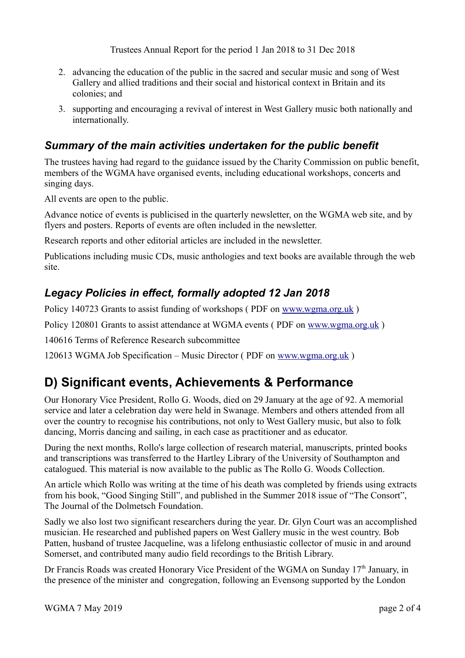Trustees Annual Report for the period 1 Jan 2018 to 31 Dec 2018

- 2. advancing the education of the public in the sacred and secular music and song of West Gallery and allied traditions and their social and historical context in Britain and its colonies; and
- 3. supporting and encouraging a revival of interest in West Gallery music both nationally and internationally.

#### *Summary of the main activities undertaken for the public benefit*

The trustees having had regard to the guidance issued by the Charity Commission on public benefit, members of the WGMA have organised events, including educational workshops, concerts and singing days.

All events are open to the public.

Advance notice of events is publicised in the quarterly newsletter, on the WGMA web site, and by flyers and posters. Reports of events are often included in the newsletter.

Research reports and other editorial articles are included in the newsletter.

Publications including music CDs, music anthologies and text books are available through the web site.

#### *Legacy Policies in effect, formally adopted 12 Jan 2018*

Policy 140723 Grants to assist funding of workshops (PDF on www.wgma.org.uk)

Policy 120801 Grants to assist attendance at WGMA events ( PDF on [www.wgma.org.uk](http://www.wgma.org.uk/) )

140616 Terms of Reference Research subcommittee

120613 WGMA Job Specification – Music Director ( PDF on [www.wgma.org.uk](http://www.wgma.org.uk/) )

## **D) Significant events, Achievements & Performance**

Our Honorary Vice President, Rollo G. Woods, died on 29 January at the age of 92. A memorial service and later a celebration day were held in Swanage. Members and others attended from all over the country to recognise his contributions, not only to West Gallery music, but also to folk dancing, Morris dancing and sailing, in each case as practitioner and as educator.

During the next months, Rollo's large collection of research material, manuscripts, printed books and transcriptions was transferred to the Hartley Library of the University of Southampton and catalogued. This material is now available to the public as The Rollo G. Woods Collection.

An article which Rollo was writing at the time of his death was completed by friends using extracts from his book, "Good Singing Still", and published in the Summer 2018 issue of "The Consort", The Journal of the Dolmetsch Foundation.

Sadly we also lost two significant researchers during the year. Dr. Glyn Court was an accomplished musician. He researched and published papers on West Gallery music in the west country. Bob Patten, husband of trustee Jacqueline, was a lifelong enthusiastic collector of music in and around Somerset, and contributed many audio field recordings to the British Library.

Dr Francis Roads was created Honorary Vice President of the WGMA on Sunday 17<sup>th</sup> January, in the presence of the minister and congregation, following an Evensong supported by the London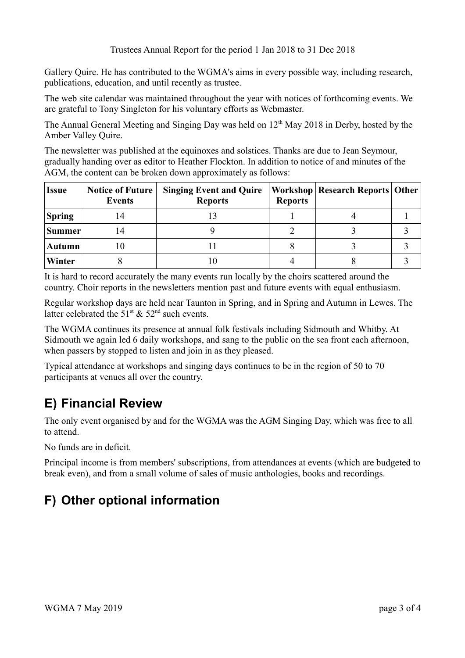Gallery Quire. He has contributed to the WGMA's aims in every possible way, including research, publications, education, and until recently as trustee.

The web site calendar was maintained throughout the year with notices of forthcoming events. We are grateful to Tony Singleton for his voluntary efforts as Webmaster.

The Annual General Meeting and Singing Day was held on  $12<sup>th</sup>$  May 2018 in Derby, hosted by the Amber Valley Quire.

The newsletter was published at the equinoxes and solstices. Thanks are due to Jean Seymour, gradually handing over as editor to Heather Flockton. In addition to notice of and minutes of the AGM, the content can be broken down approximately as follows:

| <b>Issue</b>  | <b>Notice of Future</b><br><b>Events</b> | <b>Singing Event and Quire</b><br><b>Reports</b> | <b>Reports</b> | Workshop   Research Reports   Other |  |
|---------------|------------------------------------------|--------------------------------------------------|----------------|-------------------------------------|--|
| <b>Spring</b> |                                          |                                                  |                |                                     |  |
| <b>Summer</b> |                                          |                                                  |                |                                     |  |
| <b>Autumn</b> |                                          |                                                  |                |                                     |  |
| Winter        |                                          |                                                  |                |                                     |  |

It is hard to record accurately the many events run locally by the choirs scattered around the country. Choir reports in the newsletters mention past and future events with equal enthusiasm.

Regular workshop days are held near Taunton in Spring, and in Spring and Autumn in Lewes. The latter celebrated the  $51<sup>st</sup>$  &  $52<sup>nd</sup>$  such events.

The WGMA continues its presence at annual folk festivals including Sidmouth and Whitby. At Sidmouth we again led 6 daily workshops, and sang to the public on the sea front each afternoon, when passers by stopped to listen and join in as they pleased.

Typical attendance at workshops and singing days continues to be in the region of 50 to 70 participants at venues all over the country.

# **E) Financial Review**

The only event organised by and for the WGMA was the AGM Singing Day, which was free to all to attend.

No funds are in deficit.

Principal income is from members' subscriptions, from attendances at events (which are budgeted to break even), and from a small volume of sales of music anthologies, books and recordings.

# **F) Other optional information**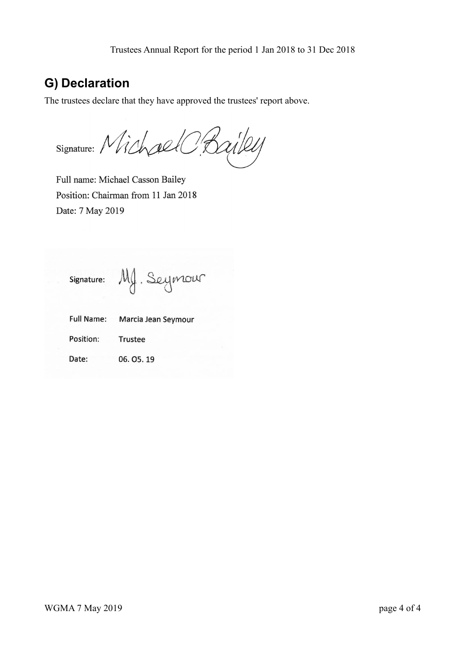## **G) Declaration**

The trustees declare that they have approved the trustees' report above.

Signature: Michael Bailey

Full name: Michael Casson Bailey Position: Chairman from 11 Jan 2018 Date: 7 May 2019

Mg. Seymour Signature:

| <b>Full Name:</b> | Marcia Jean Seymour |
|-------------------|---------------------|
| Position:         | Trustee             |
| Date:             | 06.05.19            |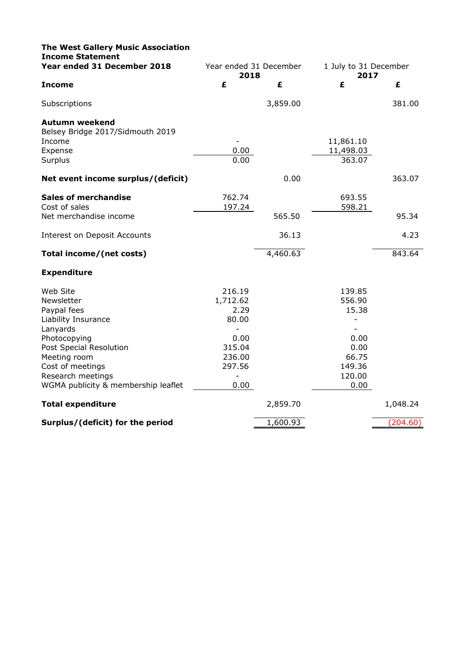| <b>The West Gallery Music Association</b><br><b>Income Statement</b> |                                     |          |                               |          |
|----------------------------------------------------------------------|-------------------------------------|----------|-------------------------------|----------|
| Year ended 31 December 2018                                          | Year ended 31 December<br>2018      |          | 1 July to 31 December<br>2017 |          |
| <b>Income</b>                                                        | £                                   | £        | £                             | £        |
| Subscriptions                                                        |                                     | 3,859.00 |                               | 381.00   |
| <b>Autumn weekend</b><br>Belsey Bridge 2017/Sidmouth 2019<br>Income  |                                     |          | 11,861.10                     |          |
| Expense                                                              | 0.00                                |          | 11,498.03                     |          |
| Surplus                                                              | 0.00                                |          | 363.07                        |          |
| Net event income surplus/(deficit)                                   |                                     | 0.00     |                               | 363.07   |
| <b>Sales of merchandise</b><br>Cost of sales                         | 762.74<br>197.24                    |          | 693.55<br>598.21              |          |
| Net merchandise income                                               |                                     | 565.50   |                               | 95.34    |
| Interest on Deposit Accounts                                         |                                     | 36.13    |                               | 4.23     |
| Total income/(net costs)                                             |                                     | 4,460.63 |                               | 843.64   |
| <b>Expenditure</b>                                                   |                                     |          |                               |          |
| Web Site<br>Newsletter<br>Paypal fees                                | 216.19<br>1,712.62<br>2.29<br>80.00 |          | 139.85<br>556.90<br>15.38     |          |
| Liability Insurance<br>Lanyards                                      |                                     |          |                               |          |
| Photocopying<br>Post Special Resolution<br>Meeting room              | 0.00<br>315.04<br>236.00            |          | 0.00<br>0.00<br>66.75         |          |
| Cost of meetings                                                     | 297.56                              |          | 149.36                        |          |
| Research meetings<br>WGMA publicity & membership leaflet             | 0.00                                |          | 120.00<br>0.00                |          |
| <b>Total expenditure</b>                                             |                                     | 2,859.70 |                               | 1,048.24 |
| Surplus/(deficit) for the period                                     |                                     | 1,600.93 |                               | (204.60) |